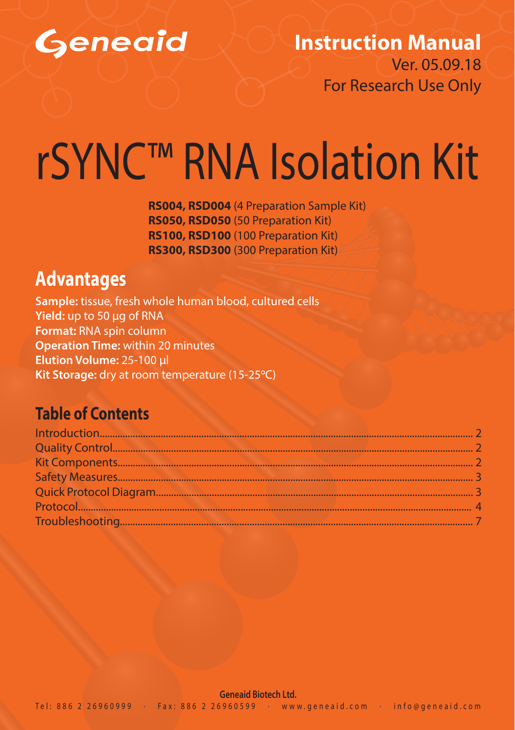

#### **Instruction Manual** Ver. 05.09.18

For Research Use Only

# rSYNC™ RNA Isolation Kit

**RS004, RSD004** (4 Preparation Sample Kit) **RS050, RSD050** (50 Preparation Kit) **RS100, RSD100** (100 Preparation Kit) **RS300, RSD300** (300 Preparation Kit)

### **Advantages**

**Sample:** tissue, fresh whole human blood, cultured cells **Yield:** up to 50 μg of RNA **Format:** RNA spin column **Operation Time:** within 20 minutes **Elution Volume:** 25-100 μl **Kit Storage:** dry at room temperature (15-25ºC)

#### **Table of Contents**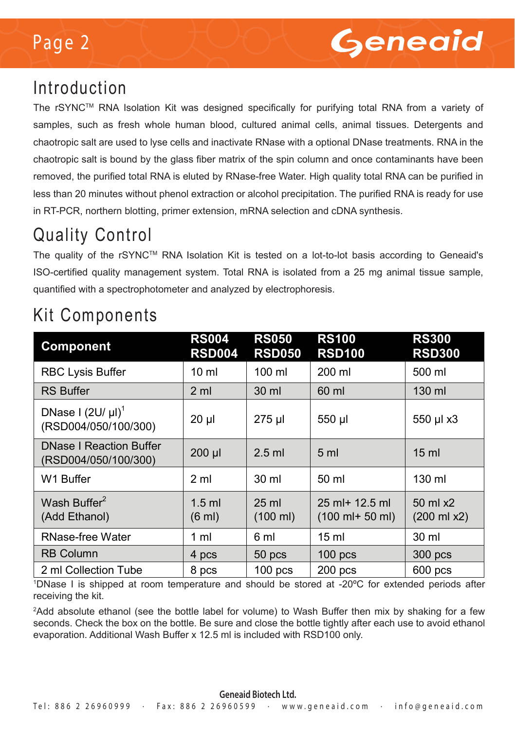## Page 2



### Introduction

The rSYNCTM RNA Isolation Kit was designed specifically for purifying total RNA from a variety of samples, such as fresh whole human blood, cultured animal cells, animal tissues. Detergents and chaotropic salt are used to lyse cells and inactivate RNase with a optional DNase treatments. RNA in the chaotropic salt is bound by the glass fiber matrix of the spin column and once contaminants have been removed, the purified total RNA is eluted by RNase-free Water. High quality total RNA can be purified in less than 20 minutes without phenol extraction or alcohol precipitation. The purified RNA is ready for use in RT-PCR, northern blotting, primer extension, mRNA selection and cDNA synthesis.

## Quality Control

The quality of the rSYNC™ RNA Isolation Kit is tested on a lot-to-lot basis according to Geneaid's ISO-certified quality management system. Total RNA is isolated from a 25 mg animal tissue sample, quantified with a spectrophotometer and analyzed by electrophoresis.

| <b>Component</b>                                       | <b>RS004</b><br><b>RSD004</b> | <b>RS050</b><br><b>RSD050</b>         | <b>RS100</b><br><b>RSD100</b>                                          | <b>RS300</b><br><b>RSD300</b>         |
|--------------------------------------------------------|-------------------------------|---------------------------------------|------------------------------------------------------------------------|---------------------------------------|
| <b>RBC Lysis Buffer</b>                                | $10 \mathrm{m}$               | $100 \mathrm{m}$                      | 200 ml                                                                 | 500 ml                                |
| <b>RS Buffer</b>                                       | 2 <sub>m</sub>                | $30$ ml                               | 60 ml                                                                  | 130 ml                                |
| DNase I $(2U/\mu I)^1$<br>(RSD004/050/100/300)         | $20 \mu$                      | 275 µl                                | 550 µl                                                                 | 550 µl x3                             |
| <b>DNase I Reaction Buffer</b><br>(RSD004/050/100/300) | $200$ $\mu$                   | $2.5$ ml                              | 5 <sub>ml</sub>                                                        | 15 <sub>ml</sub>                      |
| W1 Buffer                                              | 2 ml                          | 30 ml                                 | 50 ml                                                                  | $130 \mathrm{m}$                      |
| Wash Buffer <sup>2</sup><br>(Add Ethanol)              | $1.5$ ml<br>$(6 \text{ ml})$  | $25 \text{ ml}$<br>$(100 \text{ ml})$ | $25 \text{ ml} + 12.5 \text{ ml}$<br>$(100 \text{ ml}+ 50 \text{ ml})$ | $50$ ml $x2$<br>$(200 \text{ ml x2})$ |
| RNase-free Water                                       | 1 ml                          | 6 ml                                  | $15 \text{ ml}$                                                        | 30 ml                                 |
| <b>RB Column</b>                                       | 4 pcs                         | 50 <sub>pcs</sub>                     | $100$ pcs                                                              | 300 pcs                               |
| 2 ml Collection Tube                                   | 8 pcs                         | $100$ pcs                             | $200$ pcs                                                              | $600$ pcs                             |

## Kit Components

1 DNase I is shipped at room temperature and should be stored at -20ºC for extended periods after receiving the kit.

2 Add absolute ethanol (see the bottle label for volume) to Wash Buffer then mix by shaking for a few seconds. Check the box on the bottle. Be sure and close the bottle tightly after each use to avoid ethanol evaporation. Additional Wash Buffer x 12.5 ml is included with RSD100 only.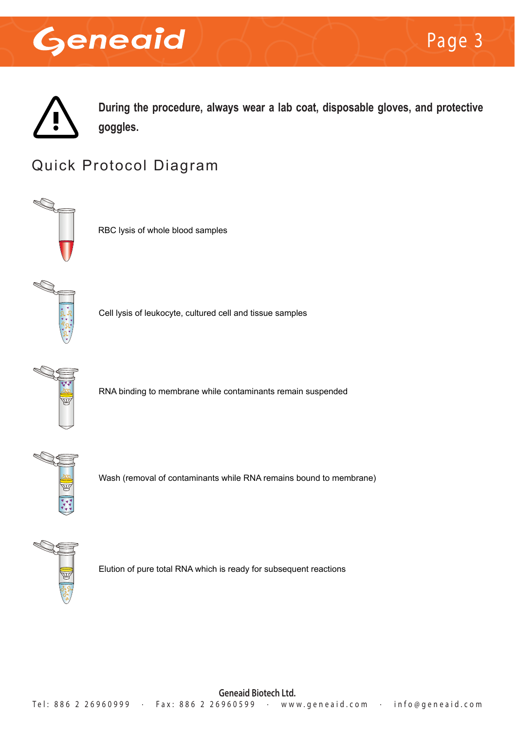

**During the procedure, always wear a lab coat, disposable gloves, and protective goggles.**

#### Quick Protocol Diagram



RBC lysis of whole blood samples



Cell lysis of leukocyte, cultured cell and tissue samples



RNA binding to membrane while contaminants remain suspended



Wash (removal of contaminants while RNA remains bound to membrane)



Elution of pure total RNA which is ready for subsequent reactions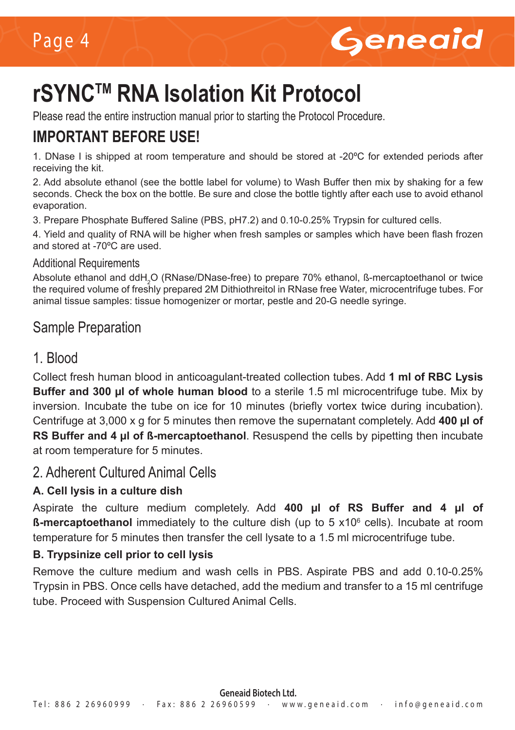

## **rSYNCTM RNA Isolation Kit Protocol**

Please read the entire instruction manual prior to starting the Protocol Procedure.

#### **IMPORTANT BEFORE USE!**

1. DNase I is shipped at room temperature and should be stored at -20ºC for extended periods after receiving the kit.

2. Add absolute ethanol (see the bottle label for volume) to Wash Buffer then mix by shaking for a few seconds. Check the box on the bottle. Be sure and close the bottle tightly after each use to avoid ethanol evaporation.

3. Prepare Phosphate Buffered Saline (PBS, pH7.2) and 0.10-0.25% Trypsin for cultured cells.

4. Yield and quality of RNA will be higher when fresh samples or samples which have been flash frozen and stored at -70ºC are used.

#### Additional Requirements

Absolute ethanol and ddH $_2$ O (RNase/DNase-free) to prepare 70% ethanol, ß-mercaptoethanol or twice the required volume of freshly prepared 2M Dithiothreitol in RNase free Water, microcentrifuge tubes. For animal tissue samples: tissue homogenizer or mortar, pestle and 20-G needle syringe.

#### Sample Preparation

#### 1. Blood

Collect fresh human blood in anticoagulant-treated collection tubes. Add **1 ml of RBC Lysis Buffer and 300 µl of whole human blood** to a sterile 1.5 ml microcentrifuge tube. Mix by inversion. Incubate the tube on ice for 10 minutes (briefly vortex twice during incubation). Centrifuge at 3,000 x g for 5 minutes then remove the supernatant completely. Add **400 µl of RS Buffer and 4 µl of ß-mercaptoethanol**. Resuspend the cells by pipetting then incubate at room temperature for 5 minutes.

#### 2. Adherent Cultured Animal Cells

#### **A. Cell lysis in a culture dish**

Aspirate the culture medium completely. Add **400 µl of RS Buffer and 4 µl of ß-mercaptoethanol** immediately to the culture dish (up to 5 x10<sup>6</sup> cells). Incubate at room temperature for 5 minutes then transfer the cell lysate to a 1.5 ml microcentrifuge tube.

#### **B. Trypsinize cell prior to cell lysis**

Remove the culture medium and wash cells in PBS. Aspirate PBS and add 0.10-0.25% Trypsin in PBS. Once cells have detached, add the medium and transfer to a 15 ml centrifuge tube. Proceed with Suspension Cultured Animal Cells.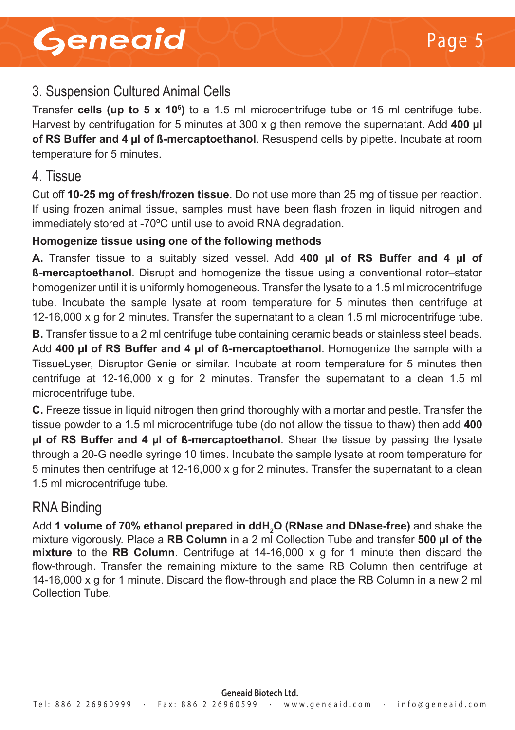#### 3. Suspension Cultured Animal Cells

Transfer **cells (up to 5 x 10<sup>6</sup>)** to a 1.5 ml microcentrifuge tube or 15 ml centrifuge tube. Harvest by centrifugation for 5 minutes at 300 x g then remove the supernatant. Add **400 µl of RS Buffer and 4 µl of ß-mercaptoethanol**. Resuspend cells by pipette. Incubate at room temperature for 5 minutes.

#### 4. Tissue

Cut off **10-25 mg of fresh/frozen tissue**. Do not use more than 25 mg of tissue per reaction. If using frozen animal tissue, samples must have been flash frozen in liquid nitrogen and immediately stored at -70ºC until use to avoid RNA degradation.

#### **Homogenize tissue using one of the following methods**

**A.** Transfer tissue to a suitably sized vessel. Add **400 µl of RS Buffer and 4 µl of ß-mercaptoethanol**. Disrupt and homogenize the tissue using a conventional rotor–stator homogenizer until it is uniformly homogeneous. Transfer the lysate to a 1.5 ml microcentrifuge tube. Incubate the sample lysate at room temperature for 5 minutes then centrifuge at 12-16,000 x g for 2 minutes. Transfer the supernatant to a clean 1.5 ml microcentrifuge tube.

**B.** Transfer tissue to a 2 ml centrifuge tube containing ceramic beads or stainless steel beads. Add **400 µl of RS Buffer and 4 µl of ß-mercaptoethanol**. Homogenize the sample with a TissueLyser, Disruptor Genie or similar. Incubate at room temperature for 5 minutes then centrifuge at  $12-16,000 \times g$  for 2 minutes. Transfer the supernatant to a clean 1.5 ml microcentrifuge tube.

**C.** Freeze tissue in liquid nitrogen then grind thoroughly with a mortar and pestle. Transfer the tissue powder to a 1.5 ml microcentrifuge tube (do not allow the tissue to thaw) then add **400 µl of RS Buffer and 4 µl of ß-mercaptoethanol**. Shear the tissue by passing the lysate through a 20-G needle syringe 10 times. Incubate the sample lysate at room temperature for 5 minutes then centrifuge at 12-16,000 x g for 2 minutes. Transfer the supernatant to a clean 1.5 ml microcentrifuge tube.

#### RNA Binding

Add **1 volume of 70% ethanol prepared in ddH2 O (RNase and DNase-free)** and shake the mixture vigorously. Place a **RB Column** in a 2 ml Collection Tube and transfer **500 µl of the mixture** to the **RB Column**. Centrifuge at 14-16,000 x g for 1 minute then discard the flow-through. Transfer the remaining mixture to the same RB Column then centrifuge at 14-16,000 x g for 1 minute. Discard the flow-through and place the RB Column in a new 2 ml Collection Tube.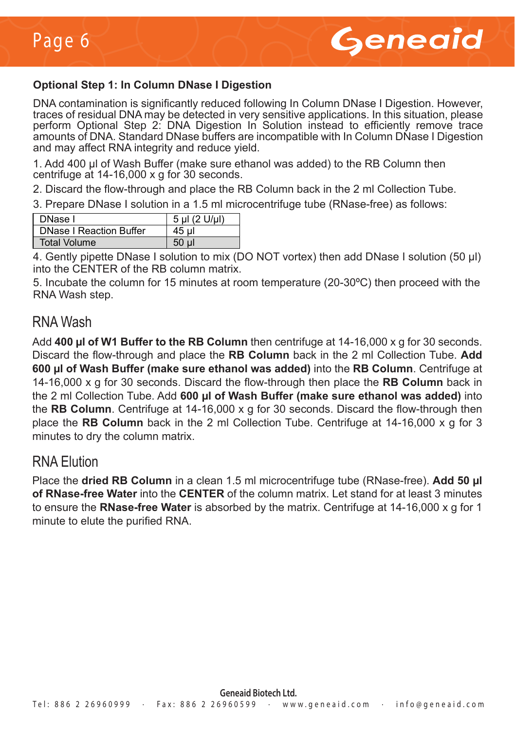

#### **Optional Step 1: In Column DNase I Digestion**

DNA contamination is significantly reduced following In Column DNase I Digestion. However, traces of residual DNA may be detected in very sensitive applications. In this situation, please perform Optional Step 2: DNA Digestion In Solution instead to efficiently remove trace amounts of DNA. Standard DNase buffers are incompatible with In Column DNase I Digestion and may affect RNA integrity and reduce yield.

1. Add 400 μl of Wash Buffer (make sure ethanol was added) to the RB Column then centrifuge at 14-16,000 x g for 30 seconds.

2. Discard the flow-through and place the RB Column back in the 2 ml Collection Tube.

3. Prepare DNase I solution in a 1.5 ml microcentrifuge tube (RNase-free) as follows:

| DNase I                        | 5 µl (2 U/µl) |
|--------------------------------|---------------|
| <b>DNase I Reaction Buffer</b> | 45 ul         |
| Total Volume                   |               |

4. Gently pipette DNase I solution to mix (DO NOT vortex) then add DNase I solution (50 μl) into the CENTER of the RB column matrix.

5. Incubate the column for 15 minutes at room temperature (20-30ºC) then proceed with the RNA Wash step.

#### RNA Wash

Add **400 µl of W1 Buffer to the RB Column** then centrifuge at 14-16,000 x g for 30 seconds. Discard the flow-through and place the **RB Column** back in the 2 ml Collection Tube. **Add 600 µl of Wash Buffer (make sure ethanol was added)** into the **RB Column**. Centrifuge at 14-16,000 x g for 30 seconds. Discard the flow-through then place the **RB Column** back in the 2 ml Collection Tube. Add **600 µl of Wash Buffer (make sure ethanol was added)** into the **RB Column**. Centrifuge at 14-16,000 x g for 30 seconds. Discard the flow-through then place the **RB Column** back in the 2 ml Collection Tube. Centrifuge at 14-16,000 x g for 3 minutes to dry the column matrix.

#### RNA Elution

Place the **dried RB Column** in a clean 1.5 ml microcentrifuge tube (RNase-free). **Add 50 µl of RNase-free Water** into the **CENTER** of the column matrix. Let stand for at least 3 minutes to ensure the **RNase-free Water** is absorbed by the matrix. Centrifuge at 14-16,000 x g for 1 minute to elute the purified RNA.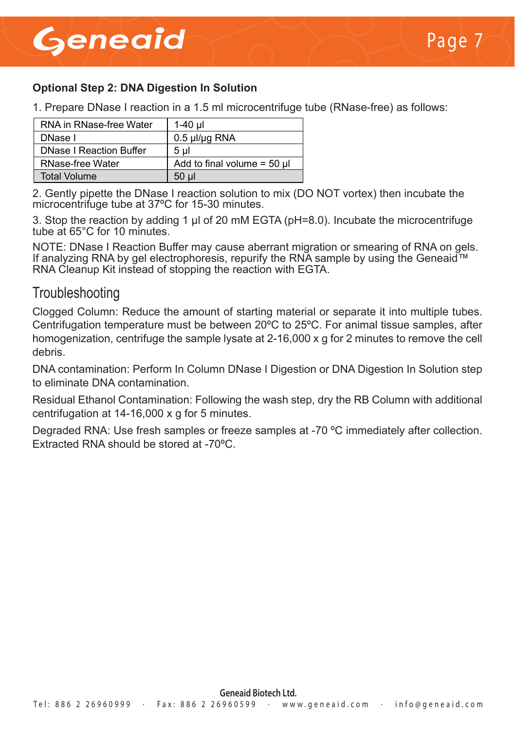## Geneaid

#### **Optional Step 2: DNA Digestion In Solution**

1. Prepare DNase I reaction in a 1.5 ml microcentrifuge tube (RNase-free) as follows:

| RNA in RNase-free Water        | 1-40 ul                          |
|--------------------------------|----------------------------------|
| DNase I                        | $0.5$ µl/µg RNA                  |
| <b>DNase I Reaction Buffer</b> | 5 ul                             |
| RNase-free Water               | Add to final volume = $50 \mu l$ |
| <b>Total Volume</b>            | 50 ul                            |

2. Gently pipette the DNase I reaction solution to mix (DO NOT vortex) then incubate the microcentrifuge tube at 37ºC for 15-30 minutes.

3. Stop the reaction by adding 1 μl of 20 mM EGTA (pH=8.0). Incubate the microcentrifuge tube at 65°C for 10 minutes.

NOTE: DNase I Reaction Buffer may cause aberrant migration or smearing of RNA on gels. If analyzing RNA by gel electrophoresis, repurify the RNA sample by using the Geneaid™ RNA Cleanup Kit instead of stopping the reaction with EGTA.

#### **Troubleshooting**

Clogged Column: Reduce the amount of starting material or separate it into multiple tubes. Centrifugation temperature must be between 20ºC to 25ºC. For animal tissue samples, after homogenization, centrifuge the sample lysate at 2-16,000 x g for 2 minutes to remove the cell debris.

DNA contamination: Perform In Column DNase I Digestion or DNA Digestion In Solution step to eliminate DNA contamination.

Residual Ethanol Contamination: Following the wash step, dry the RB Column with additional centrifugation at 14-16,000 x g for 5 minutes.

Degraded RNA: Use fresh samples or freeze samples at -70 ºC immediately after collection. Extracted RNA should be stored at -70ºC.